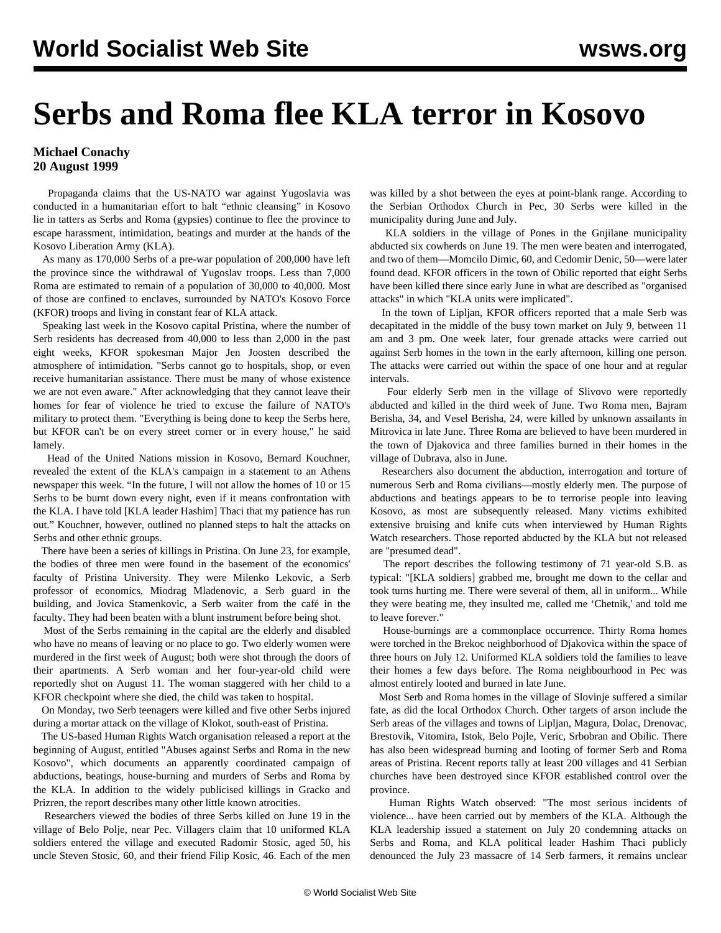## **Serbs and Roma flee KLA terror in Kosovo**

## **Michael Conachy 20 August 1999**

 Propaganda claims that the US-NATO war against Yugoslavia was conducted in a humanitarian effort to halt "ethnic cleansing" in Kosovo lie in tatters as Serbs and Roma (gypsies) continue to flee the province to escape harassment, intimidation, beatings and murder at the hands of the Kosovo Liberation Army (KLA).

 As many as 170,000 Serbs of a pre-war population of 200,000 have left the province since the withdrawal of Yugoslav troops. Less than 7,000 Roma are estimated to remain of a population of 30,000 to 40,000. Most of those are confined to enclaves, surrounded by NATO's Kosovo Force (KFOR) troops and living in constant fear of KLA attack.

 Speaking last week in the Kosovo capital Pristina, where the number of Serb residents has decreased from 40,000 to less than 2,000 in the past eight weeks, KFOR spokesman Major Jen Joosten described the atmosphere of intimidation. "Serbs cannot go to hospitals, shop, or even receive humanitarian assistance. There must be many of whose existence we are not even aware." After acknowledging that they cannot leave their homes for fear of violence he tried to excuse the failure of NATO's military to protect them. "Everything is being done to keep the Serbs here, but KFOR can't be on every street corner or in every house," he said lamely.

 Head of the United Nations mission in Kosovo, Bernard Kouchner, revealed the extent of the KLA's campaign in a statement to an Athens newspaper this week. "In the future, I will not allow the homes of 10 or 15 Serbs to be burnt down every night, even if it means confrontation with the KLA. I have told [KLA leader Hashim] Thaci that my patience has run out." Kouchner, however, outlined no planned steps to halt the attacks on Serbs and other ethnic groups.

 There have been a series of killings in Pristina. On June 23, for example, the bodies of three men were found in the basement of the economics' faculty of Pristina University. They were Milenko Lekovic, a Serb professor of economics, Miodrag Mladenovic, a Serb guard in the building, and Jovica Stamenkovic, a Serb waiter from the café in the faculty. They had been beaten with a blunt instrument before being shot.

 Most of the Serbs remaining in the capital are the elderly and disabled who have no means of leaving or no place to go. Two elderly women were murdered in the first week of August; both were shot through the doors of their apartments. A Serb woman and her four-year-old child were reportedly shot on August 11. The woman staggered with her child to a KFOR checkpoint where she died, the child was taken to hospital.

 On Monday, two Serb teenagers were killed and five other Serbs injured during a mortar attack on the village of Klokot, south-east of Pristina.

 The US-based Human Rights Watch organisation released a report at the beginning of August, entitled "Abuses against Serbs and Roma in the new Kosovo", which documents an apparently coordinated campaign of abductions, beatings, house-burning and murders of Serbs and Roma by the KLA. In addition to the widely publicised killings in Gracko and Prizren, the report describes many other little known atrocities.

 Researchers viewed the bodies of three Serbs killed on June 19 in the village of Belo Polje, near Pec. Villagers claim that 10 uniformed KLA soldiers entered the village and executed Radomir Stosic, aged 50, his uncle Steven Stosic, 60, and their friend Filip Kosic, 46. Each of the men

was killed by a shot between the eyes at point-blank range. According to the Serbian Orthodox Church in Pec, 30 Serbs were killed in the municipality during June and July.

 KLA soldiers in the village of Pones in the Gnjilane municipality abducted six cowherds on June 19. The men were beaten and interrogated, and two of them—Momcilo Dimic, 60, and Cedomir Denic, 50—were later found dead. KFOR officers in the town of Obilic reported that eight Serbs have been killed there since early June in what are described as "organised attacks" in which "KLA units were implicated".

 In the town of Lipljan, KFOR officers reported that a male Serb was decapitated in the middle of the busy town market on July 9, between 11 am and 3 pm. One week later, four grenade attacks were carried out against Serb homes in the town in the early afternoon, killing one person. The attacks were carried out within the space of one hour and at regular intervals.

 Four elderly Serb men in the village of Slivovo were reportedly abducted and killed in the third week of June. Two Roma men, Bajram Berisha, 34, and Vesel Berisha, 24, were killed by unknown assailants in Mitrovica in late June. Three Roma are believed to have been murdered in the town of Djakovica and three families burned in their homes in the village of Dubrava, also in June.

 Researchers also document the abduction, interrogation and torture of numerous Serb and Roma civilians—mostly elderly men. The purpose of abductions and beatings appears to be to terrorise people into leaving Kosovo, as most are subsequently released. Many victims exhibited extensive bruising and knife cuts when interviewed by Human Rights Watch researchers. Those reported abducted by the KLA but not released are "presumed dead".

 The report describes the following testimony of 71 year-old S.B. as typical: "[KLA soldiers] grabbed me, brought me down to the cellar and took turns hurting me. There were several of them, all in uniform... While they were beating me, they insulted me, called me 'Chetnik,' and told me to leave forever."

 House-burnings are a commonplace occurrence. Thirty Roma homes were torched in the Brekoc neighborhood of Djakovica within the space of three hours on July 12. Uniformed KLA soldiers told the families to leave their homes a few days before. The Roma neighbourhood in Pec was almost entirely looted and burned in late June.

 Most Serb and Roma homes in the village of Slovinje suffered a similar fate, as did the local Orthodox Church. Other targets of arson include the Serb areas of the villages and towns of Lipljan, Magura, Dolac, Drenovac, Brestovik, Vitomira, Istok, Belo Pojle, Veric, Srbobran and Obilic. There has also been widespread burning and looting of former Serb and Roma areas of Pristina. Recent reports tally at least 200 villages and 41 Serbian churches have been destroyed since KFOR established control over the province.

 Human Rights Watch observed: "The most serious incidents of violence... have been carried out by members of the KLA. Although the KLA leadership issued a statement on July 20 condemning attacks on Serbs and Roma, and KLA political leader Hashim Thaci publicly denounced the July 23 massacre of 14 Serb farmers, it remains unclear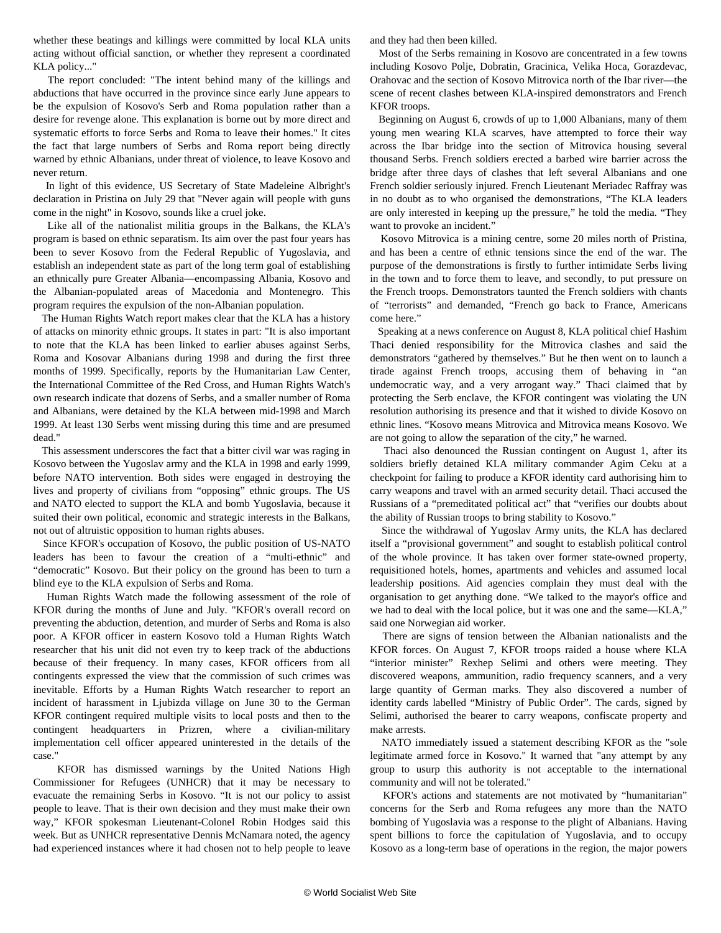whether these beatings and killings were committed by local KLA units acting without official sanction, or whether they represent a coordinated KLA policy..."

 The report concluded: "The intent behind many of the killings and abductions that have occurred in the province since early June appears to be the expulsion of Kosovo's Serb and Roma population rather than a desire for revenge alone. This explanation is borne out by more direct and systematic efforts to force Serbs and Roma to leave their homes." It cites the fact that large numbers of Serbs and Roma report being directly warned by ethnic Albanians, under threat of violence, to leave Kosovo and never return.

 In light of this evidence, US Secretary of State Madeleine Albright's declaration in Pristina on July 29 that "Never again will people with guns come in the night" in Kosovo, sounds like a cruel joke.

 Like all of the nationalist militia groups in the Balkans, the KLA's program is based on ethnic separatism. Its aim over the past four years has been to sever Kosovo from the Federal Republic of Yugoslavia, and establish an independent state as part of the long term goal of establishing an ethnically pure Greater Albania—encompassing Albania, Kosovo and the Albanian-populated areas of Macedonia and Montenegro. This program requires the expulsion of the non-Albanian population.

 The Human Rights Watch report makes clear that the KLA has a history of attacks on minority ethnic groups. It states in part: "It is also important to note that the KLA has been linked to earlier abuses against Serbs, Roma and Kosovar Albanians during 1998 and during the first three months of 1999. Specifically, reports by the Humanitarian Law Center, the International Committee of the Red Cross, and Human Rights Watch's own research indicate that dozens of Serbs, and a smaller number of Roma and Albanians, were detained by the KLA between mid-1998 and March 1999. At least 130 Serbs went missing during this time and are presumed dead."

 This assessment underscores the fact that a bitter civil war was raging in Kosovo between the Yugoslav army and the KLA in 1998 and early 1999, before NATO intervention. Both sides were engaged in destroying the lives and property of civilians from "opposing" ethnic groups. The US and NATO elected to support the KLA and bomb Yugoslavia, because it suited their own political, economic and strategic interests in the Balkans, not out of altruistic opposition to human rights abuses.

 Since KFOR's occupation of Kosovo, the public position of US-NATO leaders has been to favour the creation of a "multi-ethnic" and "democratic" Kosovo. But their policy on the ground has been to turn a blind eye to the KLA expulsion of Serbs and Roma.

 Human Rights Watch made the following assessment of the role of KFOR during the months of June and July. "KFOR's overall record on preventing the abduction, detention, and murder of Serbs and Roma is also poor. A KFOR officer in eastern Kosovo told a Human Rights Watch researcher that his unit did not even try to keep track of the abductions because of their frequency. In many cases, KFOR officers from all contingents expressed the view that the commission of such crimes was inevitable. Efforts by a Human Rights Watch researcher to report an incident of harassment in Ljubizda village on June 30 to the German KFOR contingent required multiple visits to local posts and then to the contingent headquarters in Prizren, where a civilian-military implementation cell officer appeared uninterested in the details of the case."

 KFOR has dismissed warnings by the United Nations High Commissioner for Refugees (UNHCR) that it may be necessary to evacuate the remaining Serbs in Kosovo. "It is not our policy to assist people to leave. That is their own decision and they must make their own way," KFOR spokesman Lieutenant-Colonel Robin Hodges said this week. But as UNHCR representative Dennis McNamara noted, the agency had experienced instances where it had chosen not to help people to leave

and they had then been killed.

 Most of the Serbs remaining in Kosovo are concentrated in a few towns including Kosovo Polje, Dobratin, Gracinica, Velika Hoca, Gorazdevac, Orahovac and the section of Kosovo Mitrovica north of the Ibar river—the scene of recent clashes between KLA-inspired demonstrators and French KFOR troops.

 Beginning on August 6, crowds of up to 1,000 Albanians, many of them young men wearing KLA scarves, have attempted to force their way across the Ibar bridge into the section of Mitrovica housing several thousand Serbs. French soldiers erected a barbed wire barrier across the bridge after three days of clashes that left several Albanians and one French soldier seriously injured. French Lieutenant Meriadec Raffray was in no doubt as to who organised the demonstrations, "The KLA leaders are only interested in keeping up the pressure," he told the media. "They want to provoke an incident."

 Kosovo Mitrovica is a mining centre, some 20 miles north of Pristina, and has been a centre of ethnic tensions since the end of the war. The purpose of the demonstrations is firstly to further intimidate Serbs living in the town and to force them to leave, and secondly, to put pressure on the French troops. Demonstrators taunted the French soldiers with chants of "terrorists" and demanded, "French go back to France, Americans come here."

 Speaking at a news conference on August 8, KLA political chief Hashim Thaci denied responsibility for the Mitrovica clashes and said the demonstrators "gathered by themselves." But he then went on to launch a tirade against French troops, accusing them of behaving in "an undemocratic way, and a very arrogant way." Thaci claimed that by protecting the Serb enclave, the KFOR contingent was violating the UN resolution authorising its presence and that it wished to divide Kosovo on ethnic lines. "Kosovo means Mitrovica and Mitrovica means Kosovo. We are not going to allow the separation of the city," he warned.

 Thaci also denounced the Russian contingent on August 1, after its soldiers briefly detained KLA military commander Agim Ceku at a checkpoint for failing to produce a KFOR identity card authorising him to carry weapons and travel with an armed security detail. Thaci accused the Russians of a "premeditated political act" that "verifies our doubts about the ability of Russian troops to bring stability to Kosovo."

 Since the withdrawal of Yugoslav Army units, the KLA has declared itself a "provisional government" and sought to establish political control of the whole province. It has taken over former state-owned property, requisitioned hotels, homes, apartments and vehicles and assumed local leadership positions. Aid agencies complain they must deal with the organisation to get anything done. "We talked to the mayor's office and we had to deal with the local police, but it was one and the same—KLA," said one Norwegian aid worker.

 There are signs of tension between the Albanian nationalists and the KFOR forces. On August 7, KFOR troops raided a house where KLA "interior minister" Rexhep Selimi and others were meeting. They discovered weapons, ammunition, radio frequency scanners, and a very large quantity of German marks. They also discovered a number of identity cards labelled "Ministry of Public Order". The cards, signed by Selimi, authorised the bearer to carry weapons, confiscate property and make arrests.

 NATO immediately issued a statement describing KFOR as the "sole legitimate armed force in Kosovo." It warned that "any attempt by any group to usurp this authority is not acceptable to the international community and will not be tolerated."

 KFOR's actions and statements are not motivated by "humanitarian" concerns for the Serb and Roma refugees any more than the NATO bombing of Yugoslavia was a response to the plight of Albanians. Having spent billions to force the capitulation of Yugoslavia, and to occupy Kosovo as a long-term base of operations in the region, the major powers